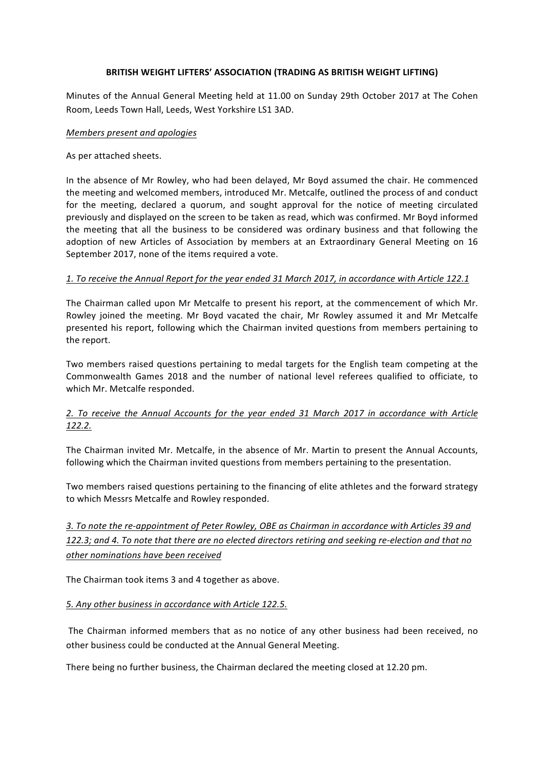## **BRITISH WEIGHT LIFTERS' ASSOCIATION (TRADING AS BRITISH WEIGHT LIFTING)**

Minutes of the Annual General Meeting held at 11.00 on Sunday 29th October 2017 at The Cohen Room, Leeds Town Hall, Leeds, West Yorkshire LS1 3AD.

#### *Members present and apologies*

As per attached sheets.

In the absence of Mr Rowley, who had been delayed, Mr Boyd assumed the chair. He commenced the meeting and welcomed members, introduced Mr. Metcalfe, outlined the process of and conduct for the meeting, declared a quorum, and sought approval for the notice of meeting circulated previously and displayed on the screen to be taken as read, which was confirmed. Mr Boyd informed the meeting that all the business to be considered was ordinary business and that following the adoption of new Articles of Association by members at an Extraordinary General Meeting on 16 September 2017, none of the items required a vote.

### *1. To receive the Annual Report for the year ended 31 March 2017, in accordance with Article 122.1*

The Chairman called upon Mr Metcalfe to present his report, at the commencement of which Mr. Rowley joined the meeting. Mr Boyd vacated the chair, Mr Rowley assumed it and Mr Metcalfe presented his report, following which the Chairman invited questions from members pertaining to the report.

Two members raised questions pertaining to medal targets for the English team competing at the Commonwealth Games 2018 and the number of national level referees qualified to officiate, to which Mr. Metcalfe responded.

# *2. To receive the Annual Accounts for the year ended 31 March 2017 in accordance with Article 122.2.*

The Chairman invited Mr. Metcalfe, in the absence of Mr. Martin to present the Annual Accounts, following which the Chairman invited questions from members pertaining to the presentation.

Two members raised questions pertaining to the financing of elite athletes and the forward strategy to which Messrs Metcalfe and Rowley responded.

3. To note the re-appointment of Peter Rowley, OBE as Chairman in accordance with Articles 39 and 122.3; and 4. To note that there are no elected directors retiring and seeking re-election and that no *other nominations have been received*

The Chairman took items 3 and 4 together as above.

### *5. Any other business in accordance with Article 122.5.*

The Chairman informed members that as no notice of any other business had been received, no other business could be conducted at the Annual General Meeting.

There being no further business, the Chairman declared the meeting closed at 12.20 pm.